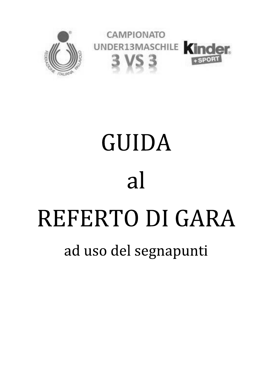

# **GUIDA** al REFERTO DI GARA ad uso del segnapunti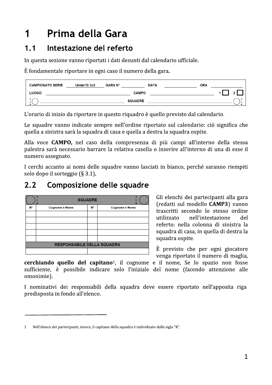## Prima della Gara 1

#### Intestazione del referto  $1.1$

In questa sezione vanno riportati i dati desunti dal calendario ufficiale.

È fondamentale riportare in ogni caso il numero della gara.

| <b>CAMPIONATO SERIE</b> | Under13 3x3 | <b>GARA N°</b> | <b>DATA</b>    | <b>ORA</b> |     |
|-------------------------|-------------|----------------|----------------|------------|-----|
| LUOGO                   |             |                | <b>CAMPO</b>   |            |     |
|                         |             |                | <b>SQUADRE</b> |            | . а |

L'orario di inizio da riportare in questo riquadro è quello previsto dal calendario.

Le squadre vanno indicate sempre nell'ordine riportato sul calendario: ciò significa che quella a sinistra sarà la squadra di casa e quella a destra la squadra ospite.

Alla voce CAMPO, nel caso della compresenza di più campi all'interno della stessa palestra sarà necessario barrare la relativa casella o inserire all'interno di una di esse il numero assegnato.

I cerchi accanto ai nomi delle squadre vanno lasciati in bianco, perché saranno riempiti solo dopo il sorteggio (§ 3.1).

#### $2.2$ Composizione delle squadre

|    | A<br>۰<br>B                | <b>SQUADRE</b> | A<br>o<br>B    |
|----|----------------------------|----------------|----------------|
| N۰ | Cognome e Nome             | N۰             | Cognome e Nome |
|    |                            |                |                |
|    |                            |                |                |
|    |                            |                |                |
|    |                            |                |                |
|    |                            |                |                |
|    | RESPONSABILE DELLA SQUADRA |                |                |
|    |                            |                |                |

Gli elenchi dei partecipanti alla gara (redatti sul modello CAMP3) vanno trascritti secondo lo stesso ordine utilizzato nell'intestazione del referto: nella colonna di sinistra la squadra di casa, in quella di destra la squadra ospite.

È previsto che per ogni giocatore venga riportato il numero di maglia,

cerchiando quello del capitano<sup>1</sup>, il cognome e il nome, Se lo spazio non fosse sufficiente, è possibile indicare solo l'iniziale del nome (facendo attenzione alle omonimie).

I nominativi dei responsabili della squadra deve essere riportato nell'apposita riga predisposta in fondo all'elenco.

Nell'elenco dei partecipanti, invece, il capitano della squadra è individuato dalla sigla "K".  $\mathbf{1}$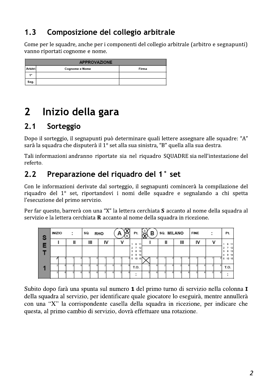#### $1.3$ Composizione del collegio arbitrale

Come per le squadre, anche per i componenti del collegio arbitrale (arbitro e segnapunti) vanno riportati cognome e nome.

|                | <b>APPROVAZIONE</b> |       |
|----------------|---------------------|-------|
| <b>Arbitri</b> | Cognome e Nome      | Firma |
| 1.             |                     |       |
| Seg.           |                     |       |

### Inizio della gara  $\mathbf{2}$

#### $2.1$ Sorteggio

Dopo il sorteggio, il segnapunti può determinare quali lettere assegnare alle squadre: "A" sarà la squadra che disputerà il 1º set alla sua sinistra, "B" quella alla sua destra.

Tali informazioni andranno riportate sia nel riquadro SQUADRE sia nell'intestazione del referto.

#### Preparazione del riquadro del 1° set  $2.2$

Con le informazioni derivate dal sorteggio, il segnapunti comincerà la compilazione del riquadro del 1° set, riportandovi i nomi delle squadre e segnalando a chi spetta l'esecuzione del primo servizio.

Per far questo, barrerà con una "X" la lettera cerchiata S accanto al nome della squadra al servizio e la lettera cerchiata R accanto al nome della squadra in ricezione.

| S | INIZIO | ٠ |   | SQ. |   | <b>RHO</b> |    | ø | R | Pt.                                        | в |  | <b>SQ. MILANO</b> |   | <b>FINE</b> |    | ٠ |   | Pt.                      |
|---|--------|---|---|-----|---|------------|----|---|---|--------------------------------------------|---|--|-------------------|---|-------------|----|---|---|--------------------------|
| Е |        |   | ш |     | Ш |            | I٧ |   |   | 6<br>11                                    |   |  |                   | Ш |             | I٧ |   |   | 6 11                     |
|   |        |   |   |     |   |            |    |   |   | 12<br>8<br>13<br>9<br>$\overline{4}$<br>14 |   |  |                   |   |             |    |   |   | 12<br>13<br>8<br>э<br>14 |
|   |        |   |   |     |   |            |    |   |   | 5<br>10 15                                 |   |  |                   |   |             |    |   | 5 | 10 15                    |
|   |        |   |   |     |   |            |    |   |   | T.O.                                       |   |  |                   |   |             |    |   |   | T.O.                     |
|   |        |   |   |     |   |            |    |   |   | ٠                                          |   |  |                   |   |             |    |   |   |                          |

Subito dopo farà una spunta sul numero 1 del primo turno di servizio nella colonna I della squadra al servizio, per identificare quale giocatore lo eseguirà, mentre annullerà con una "X" la corrispondente casella della squadra in ricezione, per indicare che questa, al primo cambio di servizio, dovrà effettuare una rotazione.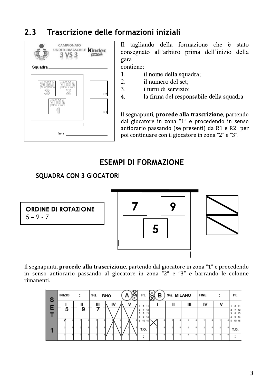#### $2.3$ Trascrizione delle formazioni iniziali



Il tagliando della formazione che è stato consegnato all'arbitro prima dell'inizio della gara

contiene:  $\overline{1}$ .

2.

 $3.$ 

- il nome della squadra;
- il numero del set:
- i turni di servizio;
- la firma del responsabile della squadra  $4.$

Il segnapunti, procede alla trascrizione, partendo dal giocatore in zona "1" e procedendo in senso antiorario passando (se presenti) da R1 e R2 per poi continuare con il giocatore in zona "2" e "3".

# **ESEMPI DI FORMAZIONE**

# **SQUADRA CON 3 GIOCATORI**

|             | <b>ORDINE DI ROTAZIONE</b> |
|-------------|----------------------------|
| $5 - 9 - 7$ |                            |





Il segnapunti, procede alla trascrizione, partendo dal giocatore in zona "1" e procedendo in senso antiorario passando al giocatore in zona "2" e "3" e barrando le colonne rimanenti.

| S | <b>INIZIO</b> |   | ÷ |   | SQ. |    | <b>RHO</b> |    | n | R | Pt.             | ୱ | в |  | SQ. MILANO | <b>FINE</b> | ٠ |   | Pt.                       |
|---|---------------|---|---|---|-----|----|------------|----|---|---|-----------------|---|---|--|------------|-------------|---|---|---------------------------|
|   |               |   | Ш |   |     | Ш  | I٧         |    |   |   | 6<br>11         |   |   |  | Ш          | IV          |   |   | 6                         |
|   |               | 5 |   | 9 |     |    |            |    |   |   | 8<br>13<br>9 14 |   |   |  |            |             |   |   | 12<br>13<br>8<br>$9 + 14$ |
|   |               |   |   |   |     |    |            |    |   |   | 10 15<br>5      |   |   |  |            |             |   | 5 | 10 15                     |
|   |               |   |   |   |     |    |            |    |   |   | T.O.            |   |   |  |            |             |   |   | T.O.                      |
|   |               |   |   |   |     | 81 |            | ÆД |   |   |                 |   |   |  |            |             |   |   |                           |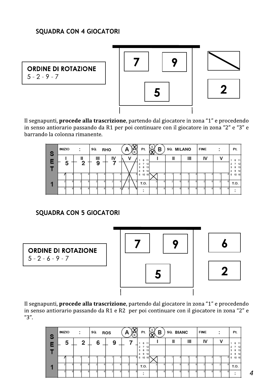# **SQUADRA CON 4 GIOCATORI**

**ORDINE DI ROTAZIONE**  $5 - 2 - 9 - 7$ 







Il segnapunti, procede alla trascrizione, partendo dal giocatore in zona "1" e procedendo in senso antiorario passando da R1 per poi continuare con il giocatore in zona "2" e "3" e barrando la colonna rimanente.

| S | INIZIO |   | ٠              | SQ. | <b>RHO</b>    |    | R | Pt.                           | в |   | SQ. MILANO |   | <b>FINE</b> | ٠ |        | Pt.                      |
|---|--------|---|----------------|-----|---------------|----|---|-------------------------------|---|---|------------|---|-------------|---|--------|--------------------------|
| Е |        |   | ш              | Ш   | $\frac{1}{2}$ |    |   | 6                             |   | ш |            | Ш | IV          |   |        | 6<br>11                  |
|   |        | 5 | 2 <sup>1</sup> | 9   |               |    |   | ÷.<br>8<br>13<br>9<br>4<br>14 |   |   |            |   |             |   | ٠<br>٠ | 12<br>13<br>8<br>14<br>э |
|   |        |   |                |     |               |    |   | 5<br>10<br>15                 |   |   |            |   |             |   | 5      | 10 15                    |
|   |        |   |                |     |               |    |   | T.O.                          |   |   |            |   |             |   |        | T.O.                     |
|   |        |   |                |     |               | 64 |   | ٠                             |   |   |            |   |             |   |        |                          |

# **SQUADRA CON 5 GIOCATORI**

6 7 9 **ORDINE DI ROTAZIONE**  $5 - 2 - 6 - 9 - 7$ 2 5

Il segnapunti, procede alla trascrizione, partendo dal giocatore in zona "1" e procedendo in senso antiorario passando da R1 e R2 per poi continuare con il giocatore in zona "2" e "3".

| ్ | INIZIO | ٠            | SQ. | <b>ROS</b> | R | Pt.                                       | в | SQ. BIANC |     | <b>FINE</b> | ٠ | Pt.                      |
|---|--------|--------------|-----|------------|---|-------------------------------------------|---|-----------|-----|-------------|---|--------------------------|
| E | 5      | $\mathbf{2}$ | 6   | 9          |   | 6                                         |   |           | III | I٧          |   | 6 11                     |
|   |        |              |     |            |   | з<br>8<br>13<br>9<br>$\overline{4}$<br>14 |   |           |     |             |   | 12<br>13<br>8<br>э<br>14 |
|   |        |              |     |            |   | 5<br>10<br>15                             |   |           |     |             |   | 10 15                    |
|   |        |              |     |            |   | T.O.                                      |   |           |     |             |   | T.O.                     |
|   |        |              |     |            |   | ٠                                         |   |           |     |             |   |                          |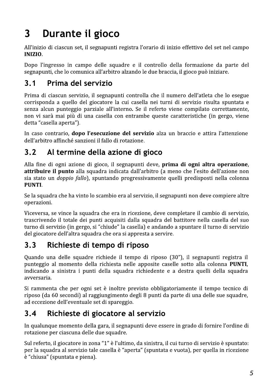## Durante il gioco  $\overline{\mathbf{3}}$

All'inizio di ciascun set, il segnapunti registra l'orario di inizio effettivo del set nel campo **INIZIO.** 

Dopo l'ingresso in campo delle squadre e il controllo della formazione da parte del segnapunti, che lo comunica all'arbitro alzando le due braccia, il gioco può iniziare.

#### $3.1$ Prima del servizio

Prima di ciascun servizio, il segnapunti controlla che il numero dell'atleta che lo esegue corrisponda a quello del giocatore la cui casella nei turni di servizio risulta spuntata e senza alcun punteggio parziale all'interno. Se il referto viene compilato correttamente, non vi sarà mai più di una casella con entrambe queste caratteristiche (in gergo, viene detta "casella aperta").

In caso contrario, dopo l'esecuzione del servizio alza un braccio e attira l'attenzione dell'arbitro affinché sanzioni il fallo di rotazione.

#### Al termine della azione di gioco  $3.2$

Alla fine di ogni azione di gioco, il segnapunti deve, prima di ogni altra operazione, attribuire il punto alla squadra indicata dall'arbitro (a meno che l'esito dell'azione non sia stato un *doppio fallo*), spuntando progressivamente quelli predisposti nella colonna PUNTI.

Se la squadra che ha vinto lo scambio era al servizio, il segnapunti non deve compiere altre operazioni.

Viceversa, se vince la squadra che era in ricezione, deve completare il cambio di servizio, trascrivendo il totale dei punti acquisiti dalla squadra del battitore nella casella del suo turno di servizio (in gergo, si "chiude" la casella) e andando a spuntare il turno di servizio del giocatore dell'altra squadra che ora si appresta a servire.

#### Richieste di tempo di riposo  $3.3$

Quando una delle squadre richiede il tempo di riposo (30"), il segnapunti registra il punteggio al momento della richiesta nelle apposite caselle sotto alla colonna **PUNTI**, indicando a sinistra i punti della squadra richiedente e a destra quelli della squadra avversaria.

Si rammenta che per ogni set è inoltre previsto obbligatoriamente il tempo tecnico di riposo (da 60 secondi) al raggiungimento degli 8 punti da parte di una delle sue squadre, ad eccezione dell'eventuale set di spareggio.

#### Richieste di giocatore al servizio  $3.4$

In qualunque momento della gara, il segnapunti deve essere in grado di fornire l'ordine di rotazione per ciascuna delle due squadre.

Sul referto, il giocatore in zona "1" è l'ultimo, da sinistra, il cui turno di servizio è spuntato: per la squadra al servizio tale casella è "aperta" (spuntata e vuota), per quella in ricezione è "chiusa" (spuntata e piena).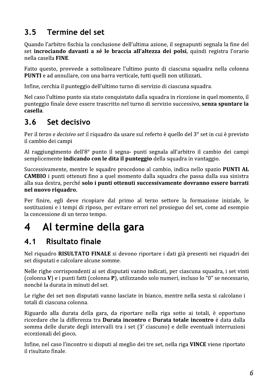#### $3.5$ Termine del set

Quando l'arbitro fischia la conclusione dell'ultima azione, il segnapunti segnala la fine del set incrociando davanti a sé le braccia all'altezza dei polsi, quindi registra l'orario nella casella FINE.

Fatto questo, provvede a sottolineare l'ultimo punto di ciascuna squadra nella colonna PUNTI e ad annullare, con una barra verticale, tutti quelli non utilizzati.

Infine, cerchia il punteggio dell'ultimo turno di servizio di ciascuna squadra.

Nel caso l'ultimo punto sia stato conquistato dalla squadra in ricezione in quel momento, il punteggio finale deve essere trascritto nel turno di servizio successivo, senza spuntare la casella.

#### $3.6$ Set decisivo

Per il terzo e decisivo set il riquadro da usare sul referto è quello del 3° set in cui è previsto il cambio dei campi

Al raggiungimento dell'8° punto il segna- punti segnala all'arbitro il cambio dei campi semplicemente indicando con le dita il punteggio della squadra in vantaggio.

Successivamente, mentre le squadre procedono al cambio, indica nello spazio PUNTI AL **CAMBIO** i punti ottenuti fino a quel momento dalla squadra che passa dalla sua sinistra alla sua destra, perché solo i punti ottenuti successivamente dovranno essere barrati nel nuovo riquadro.

Per finire, egli deve ricopiare dal primo al terzo settore la formazione iniziale, le sostituzioni e i tempi di riposo, per evitare errori nel prosieguo del set, come ad esempio la concessione di un terzo tempo.

## Al termine della gara 4

#### $4.1$ **Risultato finale**

Nel riquadro RISULTATO FINALE si devono riportare i dati già presenti nei riquadri dei set disputati e calcolare alcune somme.

Nelle righe corrispondenti ai set disputati vanno indicati, per ciascuna squadra, i set vinti (colonna V) e i punti fatti (colonna P), utilizzando solo numeri, incluso lo "0" se necessario, nonché la durata in minuti del set.

Le righe dei set non disputati vanno lasciate in bianco, mentre nella sesta si calcolano i totali di ciascuna colonna.

Riguardo alla durata della gara, da riportare nella riga sotto ai totali, è opportuno ricordare che la differenza tra Durata incontro e Durata totale incontro è data dalla somma delle durate degli intervalli tra i set (3' ciascuno) e delle eventuali interruzioni eccezionali del gioco.

Infine, nel caso l'incontro si disputi al meglio dei tre set, nella riga VINCE viene riportato il risultato finale.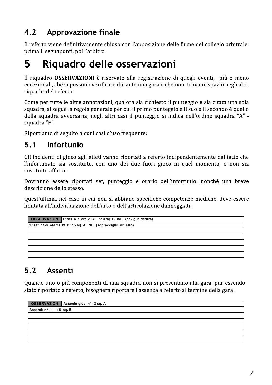#### $4.2$ Approvazione finale

Il referto viene definitivamente chiuso con l'apposizione delle firme del collegio arbitrale: prima il segnapunti, poi l'arbitro.

## Riquadro delle osservazioni 5

Il riquadro **OSSERVAZIONI** è riservato alla registrazione di quegli eventi, più o meno eccezionali, che si possono verificare durante una gara e che non trovano spazio negli altri riquadri del referto.

Come per tutte le altre annotazioni, qualora sia richiesto il punteggio e sia citata una sola squadra, si segue la regola generale per cui il primo punteggio è il suo e il secondo è quello della squadra avversaria; negli altri casi il punteggio si indica nell'ordine squadra "A" squadra "B".

Riportiamo di seguito alcuni casi d'uso frequente:

#### $5.1$ Infortunio

Gli incidenti di gioco agli atleti vanno riportati a referto indipendentemente dal fatto che l'infortunato sia sostituito, con uno dei due fuori gioco in quel momento, o non sia sostituito affatto.

Dovranno essere riportati set, punteggio e orario dell'infortunio, nonché una breve descrizione dello stesso.

Quest'ultima, nel caso in cui non si abbiano specifiche competenze mediche, deve essere limitata all'individuazione dell'arto o dell'articolazione danneggiati.

```
OSSERVAZIONI 1° set 4-7 ore 20.40 n° 3 sq. B INF. (caviglia destra)
2° set 11-9 ore 21.13 n° 15 sq. A INF. (sopracciglio sinistro)
```
#### $5.2$ Assenti

Quando uno o più componenti di una squadra non si presentano alla gara, pur essendo stato riportato a referto, bisognerà riportare l'assenza a referto al termine della gara.

```
OSSERVAZIONI Assente gioc. nº13 sq. A
Assenti: n^{\circ}11 – 15 sq. B
```